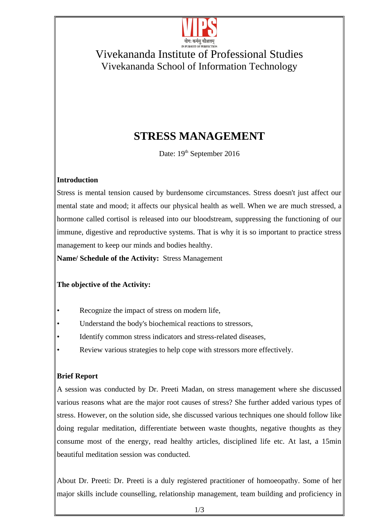

### Vivekananda Institute of Professional Studies Vivekananda School of Information Technology

# **STRESS MANAGEMENT**

Date: 19<sup>th</sup> September 2016

#### **Introduction**

Stress is mental tension caused by burdensome circumstances. Stress doesn't just affect our mental state and mood; it affects our physical health as well. When we are much stressed, a hormone called cortisol is released into our bloodstream, suppressing the functioning of our immune, digestive and reproductive systems. That is why it is so important to practice stress management to keep our minds and bodies healthy.

**Name/ Schedule of the Activity:** Stress Management

#### **The objective of the Activity:**

- Recognize the impact of stress on modern life,
- Understand the body's biochemical reactions to stressors,
- Identify common stress indicators and stress-related diseases,
- Review various strategies to help cope with stressors more effectively.

#### **Brief Report**

A session was conducted by Dr. Preeti Madan, on stress management where she discussed various reasons what are the major root causes of stress? She further added various types of stress. However, on the solution side, she discussed various techniques one should follow like doing regular meditation, differentiate between waste thoughts, negative thoughts as they consume most of the energy, read healthy articles, disciplined life etc. At last, a 15min beautiful meditation session was conducted.

About Dr. Preeti: Dr. Preeti is a duly registered practitioner of homoeopathy. Some of her major skills include counselling, relationship management, team building and proficiency in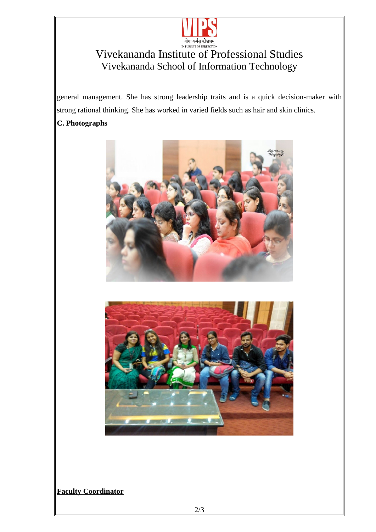

# Vivekananda Institute of Professional Studies Vivekananda School of Information Technology

general management. She has strong leadership traits and is a quick decision-maker with strong rational thinking. She has worked in varied fields such as hair and skin clinics.

#### **C. Photographs**





#### **Faculty Coordinator**